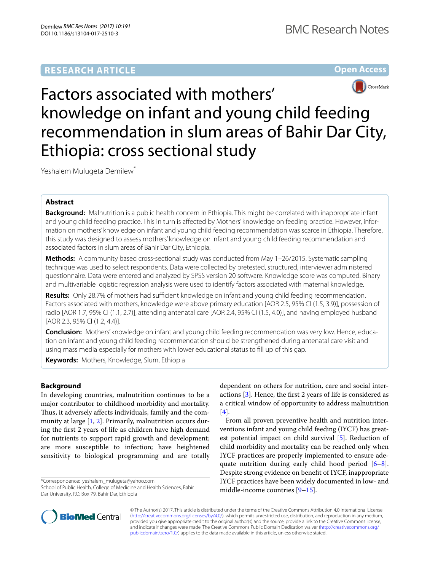## **RESEARCH ARTICLE**





# Factors associated with mothers' knowledge on infant and young child feeding recommendation in slum areas of Bahir Dar City, Ethiopia: cross sectional study

Yeshalem Mulugeta Demilew<sup>\*</sup>

## **Abstract**

**Background:** Malnutrition is a public health concern in Ethiopia. This might be correlated with inappropriate infant and young child feeding practice. This in turn is afected by Mothers' knowledge on feeding practice. However, information on mothers' knowledge on infant and young child feeding recommendation was scarce in Ethiopia. Therefore, this study was designed to assess mothers' knowledge on infant and young child feeding recommendation and associated factors in slum areas of Bahir Dar City, Ethiopia.

**Methods:** A community based cross-sectional study was conducted from May 1–26/2015. Systematic sampling technique was used to select respondents. Data were collected by pretested, structured, interviewer administered questionnaire. Data were entered and analyzed by SPSS version 20 software. Knowledge score was computed. Binary and multivariable logistic regression analysis were used to identify factors associated with maternal knowledge.

Results: Only 28.7% of mothers had sufficient knowledge on infant and young child feeding recommendation. Factors associated with mothers, knowledge were above primary education [AOR 2.5, 95% CI (1.5, 3.9)], possession of radio [AOR 1.7, 95% CI (1.1, 2.7)], attending antenatal care [AOR 2.4, 95% CI (1.5, 4.0)], and having employed husband [AOR 2.3, 95% CI (1.2, 4.4)].

**Conclusion:** Mothers' knowledge on infant and young child feeding recommendation was very low. Hence, education on infant and young child feeding recommendation should be strengthened during antenatal care visit and using mass media especially for mothers with lower educational status to fll up of this gap.

**Keywords:** Mothers, Knowledge, Slum, Ethiopia

## **Background**

In developing countries, malnutrition continues to be a major contributor to childhood morbidity and mortality. Thus, it adversely affects individuals, family and the community at large [[1,](#page-5-0) [2\]](#page-5-1). Primarily, malnutrition occurs during the frst 2 years of life as children have high demand for nutrients to support rapid growth and development; are more susceptible to infection; have heightened sensitivity to biological programming and are totally

\*Correspondence: yeshalem\_mulugeta@yahoo.com School of Public Health, College of Medicine and Health Sciences, Bahir Dar University, P.O. Box 79, Bahir Dar, Ethiopia

dependent on others for nutrition, care and social interactions [[3\]](#page-5-2). Hence, the frst 2 years of life is considered as a critical window of opportunity to address malnutrition [[4\]](#page-5-3).

From all proven preventive health and nutrition interventions infant and young child feeding (IYCF) has greatest potential impact on child survival [\[5](#page-5-4)]. Reduction of child morbidity and mortality can be reached only when IYCF practices are properly implemented to ensure adequate nutrition during early child hood period [\[6](#page-5-5)[–8](#page-5-6)]. Despite strong evidence on beneft of IYCF, inappropriate IYCF practices have been widely documented in low- and middle-income countries [\[9–](#page-5-7)[15\]](#page-6-0).



© The Author(s) 2017. This article is distributed under the terms of the Creative Commons Attribution 4.0 International License [\(http://creativecommons.org/licenses/by/4.0/\)](http://creativecommons.org/licenses/by/4.0/), which permits unrestricted use, distribution, and reproduction in any medium, provided you give appropriate credit to the original author(s) and the source, provide a link to the Creative Commons license, and indicate if changes were made. The Creative Commons Public Domain Dedication waiver ([http://creativecommons.org/](http://creativecommons.org/publicdomain/zero/1.0/) [publicdomain/zero/1.0/](http://creativecommons.org/publicdomain/zero/1.0/)) applies to the data made available in this article, unless otherwise stated.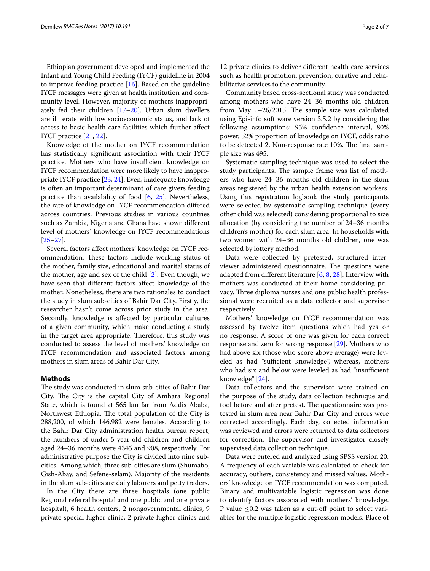Ethiopian government developed and implemented the Infant and Young Child Feeding (IYCF) guideline in 2004 to improve feeding practice [\[16](#page-6-1)]. Based on the guideline IYCF messages were given at health institution and community level. However, majority of mothers inappropriately fed their children [[17–](#page-6-2)[20\]](#page-6-3). Urban slum dwellers are illiterate with low socioeconomic status, and lack of access to basic health care facilities which further afect IYCF practice [[21](#page-6-4), [22\]](#page-6-5).

Knowledge of the mother on IYCF recommendation has statistically signifcant association with their IYCF practice. Mothers who have insufficient knowledge on IYCF recommendation were more likely to have inappropriate IYCF practice [[23,](#page-6-6) [24\]](#page-6-7). Even, inadequate knowledge is often an important determinant of care givers feeding practice than availability of food [\[6,](#page-5-5) [25\]](#page-6-8). Nevertheless, the rate of knowledge on IYCF recommendation difered across countries. Previous studies in various countries such as Zambia, Nigeria and Ghana have shown diferent level of mothers' knowledge on IYCF recommendations [[25–](#page-6-8)[27](#page-6-9)].

Several factors afect mothers' knowledge on IYCF recommendation. These factors include working status of the mother, family size, educational and marital status of the mother, age and sex of the child [\[2](#page-5-1)]. Even though, we have seen that diferent factors afect knowledge of the mother. Nonetheless, there are two rationales to conduct the study in slum sub-cities of Bahir Dar City. Firstly, the researcher hasn't come across prior study in the area. Secondly, knowledge is afected by particular cultures of a given community, which make conducting a study in the target area appropriate. Therefore, this study was conducted to assess the level of mothers' knowledge on IYCF recommendation and associated factors among mothers in slum areas of Bahir Dar City.

## **Methods**

The study was conducted in slum sub-cities of Bahir Dar City. The City is the capital City of Amhara Regional State, which is found at 565 km far from Addis Ababa, Northwest Ethiopia. The total population of the City is 288,200, of which 146,982 were females. According to the Bahir Dar City administration health bureau report, the numbers of under-5-year-old children and children aged 24–36 months were 4345 and 908, respectively. For administrative purpose the City is divided into nine subcities. Among which, three sub-cities are slum (Shumabo, Gish-Abay, and Sefene-selam). Majority of the residents in the slum sub-cities are daily laborers and petty traders.

In the City there are three hospitals (one public Regional referral hospital and one public and one private hospital), 6 health centers, 2 nongovernmental clinics, 9 private special higher clinic, 2 private higher clinics and

12 private clinics to deliver diferent health care services such as health promotion, prevention, curative and rehabilitative services to the community.

Community based cross-sectional study was conducted among mothers who have 24–36 months old children from May  $1-26/2015$ . The sample size was calculated using Epi-info soft ware version 3.5.2 by considering the following assumptions: 95% confdence interval, 80% power, 52% proportion of knowledge on IYCF, odds ratio to be detected 2, Non-response rate 10%. The final sample size was 495.

Systematic sampling technique was used to select the study participants. The sample frame was list of mothers who have 24–36 months old children in the slum areas registered by the urban health extension workers. Using this registration logbook the study participants were selected by systematic sampling technique (every other child was selected) considering proportional to size allocation (by considering the number of 24–36 months children's mother) for each slum area. In households with two women with 24–36 months old children, one was selected by lottery method.

Data were collected by pretested, structured interviewer administered questionnaire. The questions were adapted from diferent literature [\[6](#page-5-5), [8,](#page-5-6) [28](#page-6-10)]. Interview with mothers was conducted at their home considering privacy. Three diploma nurses and one public health professional were recruited as a data collector and supervisor respectively.

Mothers' knowledge on IYCF recommendation was assessed by twelve item questions which had yes or no response. A score of one was given for each correct response and zero for wrong response [\[29\]](#page-6-11). Mothers who had above six (those who score above average) were leveled as had "sufficient knowledge", whereas, mothers who had six and below were leveled as had "insufficient knowledge" [[24\]](#page-6-7).

Data collectors and the supervisor were trained on the purpose of the study, data collection technique and tool before and after pretest. The questionnaire was pretested in slum area near Bahir Dar City and errors were corrected accordingly. Each day, collected information was reviewed and errors were returned to data collectors for correction. The supervisor and investigator closely supervised data collection technique.

Data were entered and analyzed using SPSS version 20. A frequency of each variable was calculated to check for accuracy, outliers, consistency and missed values. Mothers' knowledge on IYCF recommendation was computed. Binary and multivariable logistic regression was done to identify factors associated with mothers' knowledge. P value  $\leq$ 0.2 was taken as a cut-off point to select variables for the multiple logistic regression models. Place of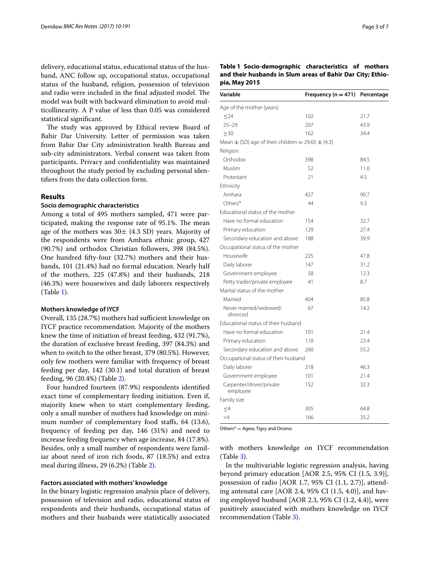delivery, educational status, educational status of the husband, ANC follow up, occupational status, occupational status of the husband, religion, possession of television and radio were included in the final adjusted model. The model was built with backward elimination to avoid multicollinearity. A P value of less than 0.05 was considered statistical signifcant.

The study was approved by Ethical review Board of Bahir Dar University. Letter of permission was taken from Bahir Dar City administration health Bureau and sub-city administrators. Verbal consent was taken from participants. Privacy and confdentiality was maintained throughout the study period by excluding personal identifers from the data collection form.

## **Results**

## **Socio demographic characteristics**

Among a total of 495 mothers sampled, 471 were participated, making the response rate of 95.1%. The mean age of the mothers was  $30\pm$  (4.3 SD) years. Majority of the respondents were from Amhara ethnic group, 427 (90.7%) and orthodox Christian followers, 398 (84.5%). One hundred ffty-four (32.7%) mothers and their husbands, 101 (21.4%) had no formal education. Nearly half of the mothers, 225 (47.8%) and their husbands, 218 (46.3%) were housewives and daily laborers respectively (Table [1](#page-2-0)).

#### **Mothers knowledge of IYCF**

Overall, 135 (28.7%) mothers had sufficient knowledge on IYCF practice recommendation. Majority of the mothers knew the time of initiation of breast feeding, 432 (91.7%), the duration of exclusive breast feeding, 397 (84.3%) and when to switch to the other breast, 379 (80.5%). However, only few mothers were familiar with frequency of breast feeding per day, 142 (30.1) and total duration of breast feeding, 96 (20.4%) (Table [2](#page-3-0)).

Four hundred fourteen (87.9%) respondents identifed exact time of complementary feeding initiation. Even if, majority knew when to start complementary feeding, only a small number of mothers had knowledge on minimum number of complementary food staffs, 64 (13.6), frequency of feeding per day, 146 (31%) and need to increase feeding frequency when age increase, 84 (17.8%). Besides, only a small number of respondents were familiar about need of iron rich foods, 87 (18.5%) and extra meal during illness, 29 (6.2%) (Table [2\)](#page-3-0).

### **Factors associated with mothers' knowledge**

In the binary logistic regression analysis place of delivery, possession of television and radio, educational status of respondents and their husbands, occupational status of mothers and their husbands were statistically associated

<span id="page-2-0"></span>

| Table 1 Socio-demographic characteristics of mothers       |  |
|------------------------------------------------------------|--|
| and their husbands in Slum areas of Bahir Dar City; Ethio- |  |
| pia, May 2015                                              |  |

| Variable                                                  | Frequency ( $n = 471$ ) | Percentage |  |  |  |
|-----------------------------------------------------------|-------------------------|------------|--|--|--|
| Age of the mother (years)                                 |                         |            |  |  |  |
| $\leq$ 24                                                 | 102                     | 21.7       |  |  |  |
| $25 - 29$                                                 | 207                     | 43.9       |  |  |  |
| $\geq 30$                                                 | 162                     | 34.4       |  |  |  |
| Mean $\pm$ (SD) age of their children = 29.65 $\pm$ (4.3) |                         |            |  |  |  |
| Religion                                                  |                         |            |  |  |  |
| Orthodox                                                  | 398                     | 84.5       |  |  |  |
| Muslim                                                    | 52                      | 11.0       |  |  |  |
| Protestant                                                | 21                      | 4.5        |  |  |  |
| Ethnicity                                                 |                         |            |  |  |  |
| Amhara                                                    | 427                     | 90.7       |  |  |  |
| Others*                                                   | 44                      | 9.3        |  |  |  |
| Educational status of the mother                          |                         |            |  |  |  |
| Have no formal education                                  | 154                     | 32.7       |  |  |  |
| Primary education                                         | 129                     | 27.4       |  |  |  |
| Secondary education and above                             | 188                     | 39.9       |  |  |  |
| Occupational status of the mother                         |                         |            |  |  |  |
| Housewife                                                 | 225                     | 47.8       |  |  |  |
| Daily laborer                                             | 147                     | 31.2       |  |  |  |
| Government employee                                       | 58                      | 12.3       |  |  |  |
| Petty trader/private employee                             | 41                      | 8.7        |  |  |  |
| Marital status of the mother                              |                         |            |  |  |  |
| Married                                                   | 404                     | 85.8       |  |  |  |
| Never married/widowed/<br>divorced                        | 67                      | 14.2       |  |  |  |
| Educational status of their husband                       |                         |            |  |  |  |
| Have no formal education                                  | 101                     | 21.4       |  |  |  |
| Primary education                                         | 110                     | 23.4       |  |  |  |
| Secondary education and above                             | 260                     | 55.2       |  |  |  |
| Occupational status of their husband                      |                         |            |  |  |  |
| Daily laborer                                             | 218                     | 46.3       |  |  |  |
| Government employee                                       | 101                     | 21.4       |  |  |  |
| Carpenter/driver/private<br>employee                      | 152                     | 32.3       |  |  |  |
| Family size                                               |                         |            |  |  |  |
| <4                                                        | 305                     | 64.8       |  |  |  |
| >4                                                        | 166                     | 35.2       |  |  |  |

Others\* = Agew, Tigry and Oromo

with mothers knowledge on IYCF recommendation (Table [3\)](#page-4-0).

In the multivariable logistic regression analysis, having beyond primary education [AOR 2.5, 95% CI (1.5, 3.9)], possession of radio [AOR 1.7, 95% CI (1.1, 2.7)], attending antenatal care [AOR 2.4, 95% CI (1.5, 4.0)], and having employed husband [AOR 2.3, 95% CI (1.2, 4.4)], were positively associated with mothers knowledge on IYCF recommendation (Table [3](#page-4-0)).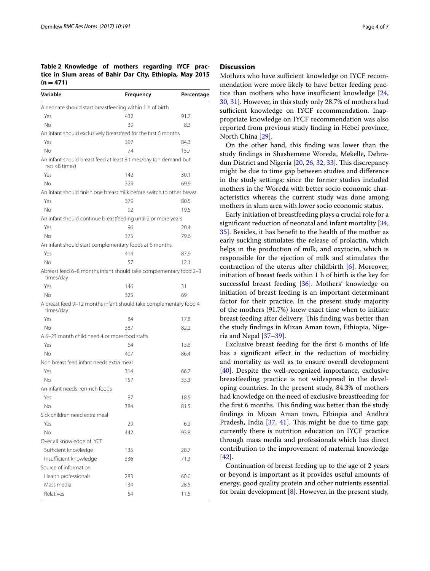<span id="page-3-0"></span>**Table 2 Knowledge of mothers regarding IYCF practice in Slum areas of Bahir Dar City, Ethiopia, May 2015**   $(n = 471)$ 

| Variable                                                                             | Frequency | Percentage |
|--------------------------------------------------------------------------------------|-----------|------------|
| A neonate should start breastfeeding within 1 h of birth                             |           |            |
| Yes                                                                                  | 432       | 91.7       |
| No                                                                                   | 39        | 8.3        |
| An infant should exclusively breastfeed for the first 6 months                       |           |            |
| Yes                                                                                  | 397       | 84.3       |
| No                                                                                   | 74        | 15.7       |
| An infant should breast feed at least 8 times/day (on demand but<br>$not < 8$ times) |           |            |
| Yes                                                                                  | 142       | 30.1       |
| Νo                                                                                   | 329       | 69.9       |
| An infant should finish one breast milk before switch to other breast                |           |            |
| Yes                                                                                  | 379       | 80.5       |
| Νo                                                                                   | 92        | 19.5       |
| An infant should continue breastfeeding until 2 or more years                        |           |            |
| Yes                                                                                  | 96        | 20.4       |
| Νo                                                                                   | 375       | 79.6       |
| An infant should start complementary foods at 6 months                               |           |            |
| Yes                                                                                  | 414       | 87.9       |
| Νo                                                                                   | 57        | 12.1       |
| Abreast feed 6-8 months infant should take complementary food 2-3<br>times/day       |           |            |
| Yes                                                                                  | 146       | 31         |
| No                                                                                   | 325       | 69         |
| A breast feed 9-12 months infant should take complementary food 4<br>times/day       |           |            |
| Yes                                                                                  | 84        | 17.8       |
| Νo                                                                                   | 387       | 82.2       |
| A 6–23 month child need 4 or more food staffs                                        |           |            |
| Yes                                                                                  | 64        | 13.6       |
| No                                                                                   | 407       | 86.4       |
| Non breast feed infant needs extra meal                                              |           |            |
| Yes                                                                                  | 314       | 66.7       |
| No                                                                                   | 157       | 33.3       |
| An infant needs iron-rich foods                                                      |           |            |
| Yes                                                                                  | 87        | 18.5       |
| Νo                                                                                   | 384       | 81.5       |
| Sick children need extra meal                                                        |           |            |
| Yes                                                                                  | 29        | 6.2        |
| No                                                                                   | 442       | 93.8       |
| Over all knowledge of IYCF                                                           |           |            |
| Sufficient knowledge                                                                 | 135       | 28.7       |
| Insufficient knowledge                                                               | 336       | 71.3       |
| Source of information                                                                |           |            |
| Health professionals                                                                 | 283       | 60.0       |
| Mass media                                                                           | 134       | 28.5       |
| Relatives                                                                            |           |            |
|                                                                                      | 54        | 11.5       |

## **Discussion**

Mothers who have sufficient knowledge on IYCF recommendation were more likely to have better feeding practice than mothers who have insufficient knowledge  $[24, 12]$  $[24, 12]$  $[24, 12]$ [30,](#page-6-12) [31](#page-6-13)]. However, in this study only 28.7% of mothers had sufficient knowledge on IYCF recommendation. Inappropriate knowledge on IYCF recommendation was also reported from previous study fnding in Hebei province, North China [\[29](#page-6-11)].

On the other hand, this fnding was lower than the study fndings in Shashemene Woreda, Mekelle, Dehra-dun District and Nigeria [[20](#page-6-3), [26,](#page-6-14) [32,](#page-6-15) [33](#page-6-16)]. This discrepancy might be due to time gap between studies and diference in the study settings; since the former studies included mothers in the Woreda with better socio economic characteristics whereas the current study was done among mothers in slum area with lower socio economic status.

Early initiation of breastfeeding plays a crucial role for a signifcant reduction of neonatal and infant mortality [[34](#page-6-17), [35\]](#page-6-18). Besides, it has beneft to the health of the mother as early suckling stimulates the release of prolactin, which helps in the production of milk, and oxytocin, which is responsible for the ejection of milk and stimulates the contraction of the uterus after childbirth [[6\]](#page-5-5). Moreover, initiation of breast feeds within 1 h of birth is the key for successful breast feeding [[36\]](#page-6-19). Mothers' knowledge on initiation of breast feeding is an important determinant factor for their practice. In the present study majority of the mothers (91.7%) knew exact time when to initiate breast feeding after delivery. This finding was better than the study fndings in Mizan Aman town, Ethiopia, Nigeria and Nepal [\[37](#page-6-20)[–39\]](#page-6-21).

Exclusive breast feeding for the frst 6 months of life has a signifcant efect in the reduction of morbidity and mortality as well as to ensure overall development [[40\]](#page-6-22). Despite the well-recognized importance, exclusive breastfeeding practice is not widespread in the developing countries. In the present study, 84.3% of mothers had knowledge on the need of exclusive breastfeeding for the first 6 months. This finding was better than the study fndings in Mizan Aman town, Ethiopia and Andhra Pradesh, India  $[37, 41]$  $[37, 41]$  $[37, 41]$  $[37, 41]$  $[37, 41]$ . This might be due to time gap; currently there is nutrition education on IYCF practice through mass media and professionals which has direct contribution to the improvement of maternal knowledge [[42\]](#page-6-24).

Continuation of breast feeding up to the age of 2 years or beyond is important as it provides useful amounts of energy, good quality protein and other nutrients essential for brain development  $[8]$  $[8]$ . However, in the present study,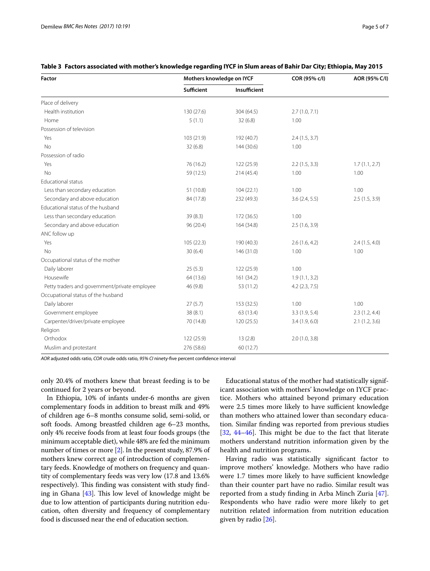| Factor                                        | Mothers knowledge on IYCF |              | COR (95% c/l)    | AOR (95% C/I) |
|-----------------------------------------------|---------------------------|--------------|------------------|---------------|
|                                               | <b>Sufficient</b>         | Insufficient |                  |               |
| Place of delivery                             |                           |              |                  |               |
| Health institution                            | 130 (27.6)                | 304 (64.5)   | 2.7(1.0, 7.1)    |               |
| Home                                          | 5(1.1)                    | 32(6.8)      | 1.00             |               |
| Possession of television                      |                           |              |                  |               |
| Yes                                           | 103 (21.9)                | 192 (40.7)   | 2.4(1.5, 3.7)    |               |
| <b>No</b>                                     | 32(6.8)                   | 144 (30.6)   | 1.00             |               |
| Possession of radio                           |                           |              |                  |               |
| Yes                                           | 76 (16.2)                 | 122 (25.9)   | 2.2(1.5, 3.3)    | 1.7(1.1, 2.7) |
| <b>No</b>                                     | 59 (12.5)                 | 214 (45.4)   | 1.00             | 1.00          |
| <b>Educational status</b>                     |                           |              |                  |               |
| Less than secondary education                 | 51 (10.8)                 | 104(22.1)    | 1.00             | 1.00          |
| Secondary and above education                 | 84 (17.8)                 | 232 (49.3)   | 3.6(2.4, 5.5)    | 2.5(1.5, 3.9) |
| Educational status of the husband             |                           |              |                  |               |
| Less than secondary education                 | 39(8.3)                   | 172 (36.5)   | 1.00             |               |
| Secondary and above education                 | 96 (20.4)                 | 164 (34.8)   | 2.5(1.6, 3.9)    |               |
| ANC follow up                                 |                           |              |                  |               |
| Yes                                           | 105(22.3)                 | 190 (40.3)   | 2.6(1.6, 4.2)    | 2.4(1.5, 4.0) |
| <b>No</b>                                     | 30(6.4)                   | 146 (31.0)   | 1.00             | 1.00          |
| Occupational status of the mother             |                           |              |                  |               |
| Daily laborer                                 | 25(5.3)                   | 122 (25.9)   | 1.00             |               |
| Housewife                                     | 64 (13.6)                 | 161 (34.2)   | 1.9(1.1, 3.2)    |               |
| Petty traders and government/private employee | 46 (9.8)                  | 53 (11.2)    | $4.2$ (2.3, 7.5) |               |
| Occupational status of the husband            |                           |              |                  |               |
| Daily laborer                                 | 27(5.7)                   | 153 (32.5)   | 1.00             | 1.00          |
| Government employee                           | 38(8.1)                   | 63 (13.4)    | 3.3(1.9, 5.4)    | 2.3(1.2, 4.4) |
| Carpenter/driver/private employee             | 70 (14.8)                 | 120 (25.5)   | 3.4(1.9, 6.0)    | 2.1(1.2, 3.6) |
| Religion                                      |                           |              |                  |               |
| Orthodox                                      | 122 (25.9)                | 13(2.8)      | 2.0(1.0, 3.8)    |               |
| Muslim and protestant                         | 276 (58.6)                | 60 (12.7)    |                  |               |

## <span id="page-4-0"></span>**Table 3 Factors associated with mother's knowledge regarding IYCF in Slum areas of Bahir Dar City; Ethiopia, May 2015**

*AOR* adjusted odds ratio, *COR* crude odds ratio, *95% CI* ninety-fve percent confdence interval

only 20.4% of mothers knew that breast feeding is to be continued for 2 years or beyond.

In Ethiopia, 10% of infants under-6 months are given complementary foods in addition to breast milk and 49% of children age 6–8 months consume solid, semi-solid, or soft foods. Among breastfed children age 6–23 months, only 4% receive foods from at least four foods groups (the minimum acceptable diet), while 48% are fed the minimum number of times or more [\[2\]](#page-5-1). In the present study, 87.9% of mothers knew correct age of introduction of complementary feeds. Knowledge of mothers on frequency and quantity of complementary feeds was very low (17.8 and 13.6% respectively). This finding was consistent with study finding in Ghana  $[43]$ . This low level of knowledge might be due to low attention of participants during nutrition education, often diversity and frequency of complementary food is discussed near the end of education section.

Educational status of the mother had statistically significant association with mothers' knowledge on IYCF practice. Mothers who attained beyond primary education were 2.5 times more likely to have sufficient knowledge than mothers who attained lower than secondary education. Similar fnding was reported from previous studies  $[32, 44-46]$  $[32, 44-46]$  $[32, 44-46]$  $[32, 44-46]$ . This might be due to the fact that literate mothers understand nutrition information given by the health and nutrition programs.

Having radio was statistically signifcant factor to improve mothers' knowledge. Mothers who have radio were 1.7 times more likely to have sufficient knowledge than their counter part have no radio. Similar result was reported from a study fnding in Arba Minch Zuria [\[47](#page-6-28)]. Respondents who have radio were more likely to get nutrition related information from nutrition education given by radio [[26](#page-6-14)].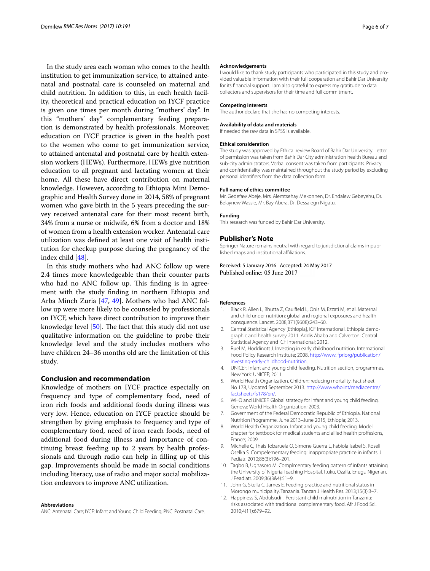In the study area each woman who comes to the health institution to get immunization service, to attained antenatal and postnatal care is counseled on maternal and child nutrition. In addition to this, in each health facility, theoretical and practical education on IYCF practice is given one times per month during "mothers' day". In this "mothers' day" complementary feeding preparation is demonstrated by health professionals. Moreover, education on IYCF practice is given in the health post to the women who come to get immunization service, to attained antenatal and postnatal care by health extension workers (HEWs). Furthermore, HEWs give nutrition education to all pregnant and lactating women at their home. All these have direct contribution on maternal knowledge. However, according to Ethiopia Mini Demographic and Health Survey done in 2014, 58% of pregnant women who gave birth in the 5 years preceding the survey received antenatal care for their most recent birth, 34% from a nurse or midwife, 6% from a doctor and 18% of women from a health extension worker. Antenatal care utilization was defned at least one visit of health institution for checkup purpose during the pregnancy of the index child [\[48](#page-6-29)].

In this study mothers who had ANC follow up were 2.4 times more knowledgeable than their counter parts who had no ANC follow up. This finding is in agreement with the study fnding in northern Ethiopia and Arba Minch Zuria [[47,](#page-6-28) [49](#page-6-30)]. Mothers who had ANC follow up were more likely to be counseled by professionals on IYCF, which have direct contribution to improve their knowledge level  $[50]$  $[50]$ . The fact that this study did not use qualitative information on the guideline to probe their knowledge level and the study includes mothers who have children 24–36 months old are the limitation of this study.

## **Conclusion and recommendation**

Knowledge of mothers on IYCF practice especially on frequency and type of complementary food, need of iron rich foods and additional foods during illness was very low. Hence, education on IYCF practice should be strengthen by giving emphasis to frequency and type of complementary food, need of iron reach foods, need of additional food during illness and importance of continuing breast feeding up to 2 years by health professionals and through radio can help in flling up of this gap. Improvements should be made in social conditions including literacy, use of radio and major social mobilization endeavors to improve ANC utilization.

#### **Abbreviations**

ANC: Antenatal Care; IYCF: Infant and Young Child Feeding; PNC: Postnatal Care.

#### **Acknowledgements**

I would like to thank study participants who participated in this study and provided valuable information with their full cooperation and Bahir Dar University for its fnancial support. I am also grateful to express my gratitude to data collectors and supervisors for their time and full commitment.

#### **Competing interests**

The author declare that she has no competing interests.

#### **Availability of data and materials**

If needed the raw data in SPSS is available.

#### **Ethical consideration**

The study was approved by Ethical review Board of Bahir Dar University. Letter of permission was taken from Bahir Dar City administration health Bureau and sub-city administrators. Verbal consent was taken from participants. Privacy and confdentiality was maintained throughout the study period by excluding personal identifers from the data collection form.

#### **Full name of ethics committee**

Mr. Gedefaw Abeje, Mrs. Alemtsehay Mekonnen, Dr. Endalew Gebeyehu, Dr. Belaynew Wassie, Mr. Bay Abera, Dr. Dessalegn Nigatu.

#### **Funding**

This research was funded by Bahir Dar University.

#### **Publisher's Note**

Springer Nature remains neutral with regard to jurisdictional claims in published maps and institutional afliations.

Received: 5 January 2016 Accepted: 24 May 2017 Published online: 05 June 2017

#### **References**

- <span id="page-5-0"></span>1. Black R, Allen L, Bhutta Z, Caulfeld L, Onis M, Ezzati M, et al. Maternal and child under nutrition: global and regional exposures and health consquence. Lancet. 2008;371(9608):243–60.
- <span id="page-5-1"></span>2. Central Statistical Agency [Ethiopia], ICF International. Ethiopia demographic and health survey 2011. Addis Ababa and Calverton: Central Statistical Agency and ICF International; 2012.
- <span id="page-5-2"></span>Ruel M, Hoddinott J. Investing in early childhood nutrition. International Food Policy Research Institute; 2008. [http://www.ifpriorg/publication/](http://www.ifpriorg/publication/investing-early-childhood-nutrition) [investing-early-childhood-nutrition.](http://www.ifpriorg/publication/investing-early-childhood-nutrition)
- <span id="page-5-3"></span>4. UNICEF. Infant and young child feeding. Nutrition section, programmes. New York: UNICEF; 2011.
- <span id="page-5-4"></span>5. World Health Organization. Children: reducing mortality. Fact sheet No 178, Updated September 2013. [http://www.who.int/mediacentre/](http://www.who.int/mediacentre/factsheets/fs178/en/) [factsheets/fs178/en/](http://www.who.int/mediacentre/factsheets/fs178/en/).
- <span id="page-5-5"></span>6. WHO and UNICEF. Global strategy for infant and young child feeding. Geneva: World Health Organization; 2003.
- 7. Government of the Federal Democratic Republic of Ethiopia. National Nutrition Programme. June 2013–June 2015, Ethiopia; 2013.
- <span id="page-5-6"></span>8. World Health Organization. Infant and young child feeding. Model chapter for textbook for medical students and allied health profesions, France; 2009.
- <span id="page-5-7"></span>9. Michelle C, Thais Tobaruela O, Simone Guerra L, Fabiola Isabel S, Roseli Oselka S. Compelementary feeding: inappropriate practice in infants. J Pediatr. 2010;86(3):196–201.
- 10. Tagbo B, Ughasoro M. Complmentary feeding pattern of infants attaining the University of Nigeria Teaching Hospital, Ituku, Ozalla, Enugu Nigerian. J Peadiatr. 2009;36(3&4):51–9.
- 11. John G, Skella C, James E. Feeding practice and nutritional status in Morongo municipality, Tanzania. Tanzan J Health Res. 2013;15(3):3–7.
- 12. Happiness S, Abdulsudi I. Persistant child malnutrition in Tanzania: risks associated with traditional complementary food. Afr J Food Sci. 2010;4(11):679–92.